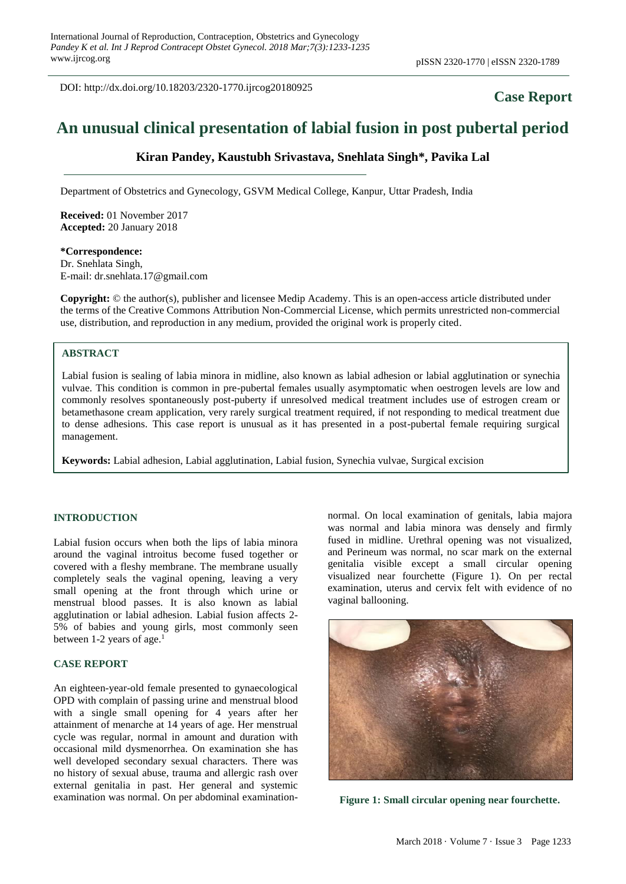DOI: http://dx.doi.org/10.18203/2320-1770.ijrcog20180925

## **Case Report**

# **An unusual clinical presentation of labial fusion in post pubertal period**

## **Kiran Pandey, Kaustubh Srivastava, Snehlata Singh\*, Pavika Lal**

Department of Obstetrics and Gynecology, GSVM Medical College, Kanpur, Uttar Pradesh, India

**Received:** 01 November 2017 **Accepted:** 20 January 2018

**\*Correspondence:** Dr. Snehlata Singh, E-mail: dr.snehlata.17@gmail.com

**Copyright:** © the author(s), publisher and licensee Medip Academy. This is an open-access article distributed under the terms of the Creative Commons Attribution Non-Commercial License, which permits unrestricted non-commercial use, distribution, and reproduction in any medium, provided the original work is properly cited.

#### **ABSTRACT**

Labial fusion is sealing of labia minora in midline, also known as labial adhesion or labial agglutination or synechia vulvae. This condition is common in pre-pubertal females usually asymptomatic when oestrogen levels are low and commonly resolves spontaneously post-puberty if unresolved medical treatment includes use of estrogen cream or betamethasone cream application, very rarely surgical treatment required, if not responding to medical treatment due to dense adhesions. This case report is unusual as it has presented in a post-pubertal female requiring surgical management.

**Keywords:** Labial adhesion, Labial agglutination, Labial fusion, Synechia vulvae, Surgical excision

#### **INTRODUCTION**

Labial fusion occurs when both the lips of labia minora around the vaginal introitus become fused together or covered with a fleshy membrane. The membrane usually completely seals the vaginal opening, leaving a very small opening at the front through which urine or menstrual blood passes. It is also known as labial agglutination or labial adhesion. Labial fusion affects 2- 5% of babies and young girls, most commonly seen between 1-2 years of age. 1

#### **CASE REPORT**

An eighteen-year-old female presented to gynaecological OPD with complain of passing urine and menstrual blood with a single small opening for 4 years after her attainment of menarche at 14 years of age. Her menstrual cycle was regular, normal in amount and duration with occasional mild dysmenorrhea. On examination she has well developed secondary sexual characters. There was no history of sexual abuse, trauma and allergic rash over external genitalia in past. Her general and systemic examination was normal. On per abdominal examinationnormal. On local examination of genitals, labia majora was normal and labia minora was densely and firmly fused in midline. Urethral opening was not visualized, and Perineum was normal, no scar mark on the external genitalia visible except a small circular opening visualized near fourchette (Figure 1). On per rectal examination, uterus and cervix felt with evidence of no vaginal ballooning.



**Figure 1: Small circular opening near fourchette.**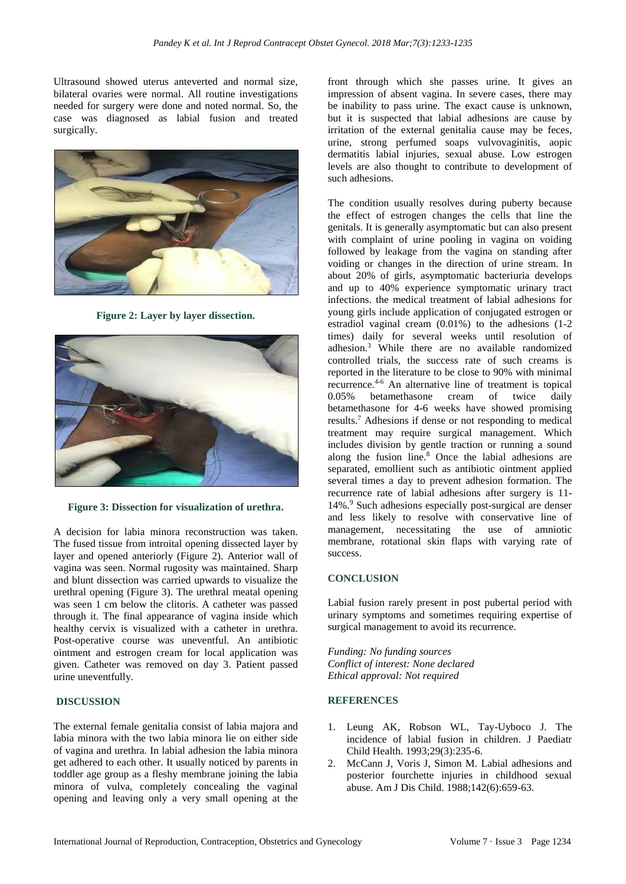Ultrasound showed uterus anteverted and normal size, bilateral ovaries were normal. All routine investigations needed for surgery were done and noted normal. So, the case was diagnosed as labial fusion and treated surgically.



**Figure 2: Layer by layer dissection.**



**Figure 3: Dissection for visualization of urethra.**

A decision for labia minora reconstruction was taken. The fused tissue from introital opening dissected layer by layer and opened anteriorly (Figure 2). Anterior wall of vagina was seen. Normal rugosity was maintained. Sharp and blunt dissection was carried upwards to visualize the urethral opening (Figure 3). The urethral meatal opening was seen 1 cm below the clitoris. A catheter was passed through it. The final appearance of vagina inside which healthy cervix is visualized with a catheter in urethra. Post-operative course was uneventful. An antibiotic ointment and estrogen cream for local application was given. Catheter was removed on day 3. Patient passed urine uneventfully.

#### **DISCUSSION**

The external female genitalia consist of labia majora and labia minora with the two labia minora lie on either side of vagina and urethra. In labial adhesion the labia minora get adhered to each other. It usually noticed by parents in toddler age group as a fleshy membrane joining the labia minora of vulva, completely concealing the vaginal opening and leaving only a very small opening at the front through which she passes urine. It gives an impression of absent vagina. In severe cases, there may be inability to pass urine. The exact cause is unknown, but it is suspected that labial adhesions are cause by irritation of the external genitalia cause may be feces, urine, strong perfumed soaps vulvovaginitis, aopic dermatitis labial injuries, sexual abuse. Low estrogen levels are also thought to contribute to development of such adhesions.

The condition usually resolves during puberty because the effect of estrogen changes the cells that line the genitals. It is generally asymptomatic but can also present with complaint of urine pooling in vagina on voiding followed by leakage from the vagina on standing after voiding or changes in the direction of urine stream. In about 20% of girls, asymptomatic bacteriuria develops and up to 40% experience symptomatic urinary tract infections. the medical treatment of labial adhesions for young girls include application of conjugated estrogen or estradiol vaginal cream (0.01%) to the adhesions (1-2 times) daily for several weeks until resolution of adhesion.<sup>3</sup> While there are no available randomized controlled trials, the success rate of such creams is reported in the literature to be close to 90% with minimal recurrence. 4-6 An alternative line of treatment is topical 0.05% betamethasone cream of twice daily betamethasone for 4-6 weeks have showed promising results. <sup>7</sup> Adhesions if dense or not responding to medical treatment may require surgical management. Which includes division by gentle traction or running a sound along the fusion line. <sup>8</sup> Once the labial adhesions are separated, emollient such as antibiotic ointment applied several times a day to prevent adhesion formation. The recurrence rate of labial adhesions after surgery is 11- 14%.<sup>9</sup> Such adhesions especially post-surgical are denser and less likely to resolve with conservative line of management, necessitating the use of amniotic membrane, rotational skin flaps with varying rate of success.

#### **CONCLUSION**

Labial fusion rarely present in post pubertal period with urinary symptoms and sometimes requiring expertise of surgical management to avoid its recurrence.

*Funding: No funding sources Conflict of interest: None declared Ethical approval: Not required*

### **REFERENCES**

- 1. Leung AK, Robson WL, Tay-Uyboco J. The incidence of labial fusion in children. J Paediatr Child Health. 1993;29(3):235-6.
- 2. McCann J, Voris J, Simon M. Labial adhesions and posterior fourchette injuries in childhood sexual abuse. Am J Dis Child. 1988;142(6):659-63.